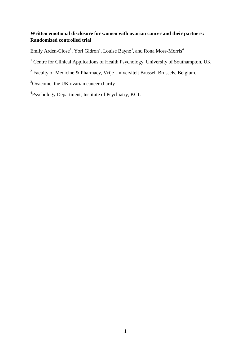# **Written emotional disclosure for women with ovarian cancer and their partners: Randomized controlled trial**

Emily Arden-Close<sup>1</sup>, Yori Gidron<sup>2</sup>, Louise Bayne<sup>3</sup>, and Rona Moss-Morris<sup>4</sup>

<sup>1</sup> Centre for Clinical Applications of Health Psychology, University of Southampton, UK

 $2$  Faculty of Medicine & Pharmacy, Vrije Universiteit Brussel, Brussels, Belgium.

<sup>3</sup>Ovacome, the UK ovarian cancer charity

<sup>4</sup>Psychology Department, Institute of Psychiatry, KCL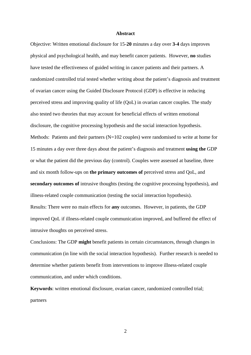## **Abstract**

Objective: Written emotional disclosure for 15-**20** minutes a day over **3-4** days improves physical and psychological health, and may benefit cancer patients. However, **no** studies have tested the effectiveness of guided writing in cancer patients and their partners. A randomized controlled trial tested whether writing about the patient's diagnosis and treatment of ovarian cancer using the Guided Disclosure Protocol (GDP) is effective in reducing perceived stress and improving quality of life (QoL) in ovarian cancer couples. The study also tested two theories that may account for beneficial effects of written emotional disclosure, the cognitive processing hypothesis and the social interaction hypothesis. Methods: Patients and their partners (N=102 couples) were randomised to write at home for 15 minutes a day over three days about the patient's diagnosis and treatment **using the** GDP or what the patient did the previous day (control). Couples were assessed at baseline, three and six month follow-ups on **the primary outcomes of** perceived stress and QoL, and **secondary outcomes of** intrusive thoughts (testing the cognitive processing hypothesis), and illness-related couple communication (testing the social interaction hypothesis). Results: There were no main effects for **any** outcomes. However, in patients, the GDP improved QoL if illness-related couple communication improved, and buffered the effect of intrusive thoughts on perceived stress.

Conclusions: The GDP **might** benefit patients in certain circumstances, through changes in communication (in line with the social interaction hypothesis). Further research is needed to determine whether patients benefit from interventions to improve illness-related couple communication, and under which conditions.

**Keywords**: written emotional disclosure, ovarian cancer, randomized controlled trial; partners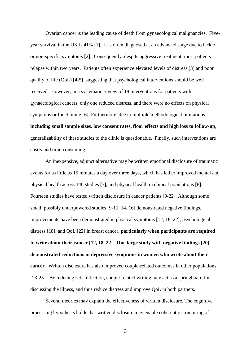Ovarian cancer is the leading cause of death from gynaecological malignancies. Fiveyear survival in the UK is 41% [1]. It is often diagnosed at an advanced stage due to lack of or non-specific symptoms [2]. Consequently, despite aggressive treatment, most patients relapse within two years. Patients often experience elevated levels of distress [3] and poor quality of life (QoL) [4-5], suggesting that psychological interventions should be well received. However, in a systematic review of 18 interventions for patients with gynaecological cancers, only one reduced distress, and there were no effects on physical symptoms or functioning [6]. Furthermore, due to multiple methodological limitations **including small sample sizes, low consent rates, floor effects and high loss to follow-up**, generalizability of these studies to the clinic is questionable. Finally, such interventions are costly and time-consuming.

An inexpensive, adjunct alternative may be written emotional disclosure of traumatic events for as little as 15 minutes a day over three days, which has led to improved mental and physical health across 146 studies [7], and physical health in clinical populations [8]. Fourteen studies have tested written disclosure in cancer patients [9-22]. Although some small, possibly underpowered studies [9-11, 14, 16] demonstrated negative findings, improvements have been demonstrated in physical symptoms [12, 18, 22], psychological distress [18], and QoL [22] in breast cancer, **particularly when participants are required to write about their cancer [12, 18, 22]**. **One large study with negative findings [20] demonstrated reductions in depressive symptoms in women who wrote about their cancer.** Written disclosure has also improved couple-related outcomes in other populations [23-25]. By inducing self-reflection, couple-related writing may act as a springboard for discussing the illness, and thus reduce distress and improve QoL in both partners.

Several theories may explain the effectiveness of written disclosure. The cognitive processing hypothesis holds that written disclosure may enable coherent restructuring of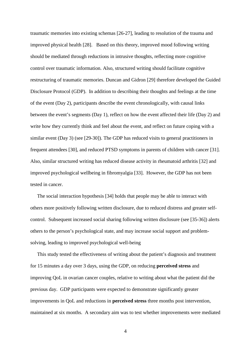traumatic memories into existing schemas [26-27], leading to resolution of the trauma and improved physical health [28]. Based on this theory, improved mood following writing should be mediated through reductions in intrusive thoughts, reflecting more cognitive control over traumatic information. Also, structured writing should facilitate cognitive restructuring of traumatic memories. Duncan and Gidron [29] therefore developed the Guided Disclosure Protocol (GDP). In addition to describing their thoughts and feelings at the time of the event (Day 2), participants describe the event chronologically, with causal links between the event's segments (Day 1), reflect on how the event affected their life (Day 2) and write how they currently think and feel about the event, and reflect on future coping with a similar event (Day 3) (see [29-30]). The GDP has reduced visits to general practitioners in frequent attendees [30], and reduced PTSD symptoms in parents of children with cancer [31]. Also, similar structured writing has reduced disease activity in rheumatoid arthritis [32] and improved psychological wellbeing in fibromyalgia [33]. However, the GDP has not been tested in cancer.

The social interaction hypothesis [34] holds that people may be able to interact with others more positively following written disclosure, due to reduced distress and greater selfcontrol. Subsequent increased social sharing following written disclosure (see [35-36]) alerts others to the person's psychological state, and may increase social support and problemsolving, leading to improved psychological well-being

This study tested the effectiveness of writing about the patient's diagnosis and treatment for 15 minutes a day over 3 days, using the GDP, on reducing **perceived stress** and improving QoL in ovarian cancer couples, relative to writing about what the patient did the previous day. GDP participants were expected to demonstrate significantly greater improvements in QoL and reductions in **perceived stress** three months post intervention, maintained at six months. A secondary aim was to test whether improvements were mediated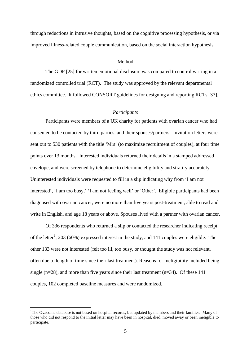through reductions in intrusive thoughts, based on the cognitive processing hypothesis, or via improved illness-related couple communication, based on the social interaction hypothesis.

## Method

The GDP [25] for written emotional disclosure was compared to control writing in a randomized controlled trial (RCT). The study was approved by the relevant departmental ethics committee. It followed CONSORT guidelines for designing and reporting RCTs [37].

# *Participants*

Participants were members of a UK charity for patients with ovarian cancer who had consented to be contacted by third parties, and their spouses/partners. Invitation letters were sent out to 530 patients with the title 'Mrs' (to maximize recruitment of couples), at four time points over 13 months. Interested individuals returned their details in a stamped addressed envelope, and were screened by telephone to determine eligibility and stratify accurately. Uninterested individuals were requested to fill in a slip indicating why from 'I am not interested', 'I am too busy,' 'I am not feeling well' or 'Other'. Eligible participants had been diagnosed with ovarian cancer, were no more than five years post-treatment, able to read and write in English, and age 18 years or above. Spouses lived with a partner with ovarian cancer.

Of 336 respondents who returned a slip or contacted the researcher indicating receipt of the letter<sup>[1](#page-4-0)</sup>, 203 (60%) expressed interest in the study, and 141 couples were eligible. The other 133 were not interested (felt too ill, too busy, or thought the study was not relevant, often due to length of time since their last treatment). Reasons for ineligibility included being single (n=28), and more than five years since their last treatment (n=34). Of these 141 couples, 102 completed baseline measures and were randomized.

<span id="page-4-0"></span> $\frac{1}{1}$ <sup>1</sup>The Ovacome database is not based on hospital records, but updated by members and their families. Many of those who did not respond to the initial letter may have been in hospital, died, moved away or been ineligible to participate.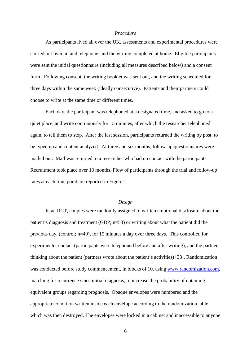# *Procedure*

As participants lived all over the UK, assessments and experimental procedures were carried out by mail and telephone, and the writing completed at home. Eligible participants were sent the initial questionnaire (including all measures described below) and a consent form. Following consent, the writing booklet was sent out, and the writing scheduled for three days within the same week (ideally consecutive). Patients and their partners could choose to write at the same time or different times.

Each day, the participant was telephoned at a designated time, and asked to go to a quiet place, and write continuously for 15 minutes, after which the researcher telephoned again, to tell them to stop. After the last session, participants returned the writing by post, to be typed up and content analyzed. At three and six months, follow-up questionnaires were mailed out. Mail was returned to a researcher who had no contact with the participants. Recruitment took place over 13 months. Flow of participants through the trial and follow-up rates at each time point are reported in Figure 1.

# *Design*

In an RCT, couples were randomly assigned to written emotional disclosure about the patient's diagnosis and treatment (GDP; n=53) or writing about what the patient did the previous day, (control; n=49), for 15 minutes a day over three days. This controlled for experimenter contact (participants were telephoned before and after writing), and the partner thinking about the patient (partners wrote about the patient's activities) [33]. Randomization was conducted before study commencement, in blocks of 10, using [www.randomization.com,](http://www.randomization.com/) matching for recurrence since initial diagnosis, to increase the probability of obtaining equivalent groups regarding prognosis. Opaque envelopes were numbered and the appropriate condition written inside each envelope according to the randomization table, which was then destroyed. The envelopes were locked in a cabinet and inaccessible to anyone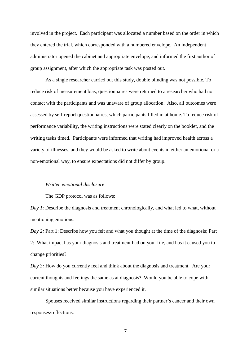involved in the project. Each participant was allocated a number based on the order in which they entered the trial, which corresponded with a numbered envelope. An independent administrator opened the cabinet and appropriate envelope, and informed the first author of group assignment, after which the appropriate task was posted out.

As a single researcher carried out this study, double blinding was not possible. To reduce risk of measurement bias, questionnaires were returned to a researcher who had no contact with the participants and was unaware of group allocation. Also, all outcomes were assessed by self-report questionnaires, which participants filled in at home. To reduce risk of performance variability, the writing instructions were stated clearly on the booklet, and the writing tasks timed. Participants were informed that writing had improved health across a variety of illnesses, and they would be asked to write about events in either an emotional or a non-emotional way, to ensure expectations did not differ by group.

## *Written emotional disclosure*

The GDP protocol was as follows:

*Day 1*: Describe the diagnosis and treatment chronologically, and what led to what, without mentioning emotions.

*Day 2:* Part 1: Describe how you felt and what you thought at the time of the diagnosis; Part 2: What impact has your diagnosis and treatment had on your life, and has it caused you to change priorities?

*Day 3:* How do you currently feel and think about the diagnosis and treatment. Are your current thoughts and feelings the same as at diagnosis? Would you be able to cope with similar situations better because you have experienced it.

Spouses received similar instructions regarding their partner's cancer and their own responses/reflections.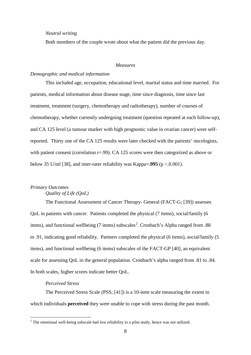#### *Neutral writing*

Both members of the couple wrote about what the patient did the previous day.

#### *Measures*

## *Demographic and medical information*

This included age, occupation, educational level, marital status and time married. For patients, medical information about disease stage, time since diagnosis, time since last treatment, treatment (surgery, chemotherapy and radiotherapy), number of courses of chemotherapy, whether currently undergoing treatment (question repeated at each follow-up), and CA 125 level (a tumour marker with high prognostic value in ovarian cancer) were selfreported. Thirty one of the CA 125 results were later checked with the patients' oncologists, with patient consent (correlation r=.99). CA 125 scores were then categorized as above or below 35 U/ml [38], and inter-rater reliability was Kappa=**.995** (p <.0.001).

# *Primary Outcomes*

# *Quality of Life (QoL)*

The Functional Assessment of Cancer Therapy- General (FACT-G; [39]) assesses QoL in patients with cancer. Patients completed the physical (7 items), social/family (6 items), and functional wellbeing (7 items) subscales<sup>[2](#page-7-0)</sup>. Cronbach's Alpha ranged from .88 to .91, indicating good reliability. Partners completed the physical (6 items), social/family (5 items), and functional wellbeing (6 items) subscales of the FACT-GP [40], an equivalent scale for assessing QoL in the general population. Cronbach's alpha ranged from .81 to .84. In both scales, higher scores indicate better QoL.

# *Perceived Stress*

The Perceived Stress Scale (PSS; [41]) is a 10-item scale measuring the extent to which individuals **perceived** they were unable to cope with stress during the past month.

<span id="page-7-0"></span><sup>&</sup>lt;sup>2</sup> The emotional well-being subscale had low reliability in a pilot study, hence was not utilized.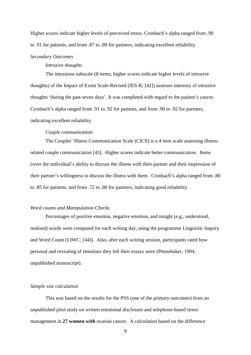Higher scores indicate higher levels of perceived stress. Cronbach's alpha ranged from .90 to .91 for patients, and from .87 to .89 for partners, indicating excellent reliability.

#### *Secondary Outcomes*

### *Intrusive thoughts*

The intrusions subscale (8 items, higher scores indicate higher levels of intrusive thoughts) of the Impact of Event Scale-Revised (IES-R; [42]) assesses intensity of intrusive thoughts 'during the past seven days'. It was completed with regard to the patient's cancer. Cronbach's alpha ranged from .91 to .92 for patients, and from .90 to .92 for partners, indicating excellent reliability.

# *Couple communication*

The Couples' Illness Communication Scale (CICS) is a 4 item scale assessing illnessrelated couple communication [43]. Higher scores indicate better communication. Items cover the individual's ability to discuss the illness with their partner and their impression of their partner's willingness to discuss the illness with them. Cronbach's alpha ranged from .80 to .85 for patients, and from .72 to .80 for partners, indicating good reliability.

# *Word counts and Manipulation Checks*

Percentages of positive emotion, negative emotion, and insight (e.g., understood, realised) words were computed for each writing day, using the programme Linguistic Inquiry and Word Count (LIWC; [44]). Also, after each writing session, participants rated how personal and revealing of emotions they felt their essays were (Pennebaker, 1994, unpublished manuscript).

#### *Sample size calculation*

This was based on the results for the PSS (one of the primary outcomes) from an unpublished pilot study on written emotional disclosure and telephone-based stress management in **27 women with** ovarian cancer. A calculation based on the difference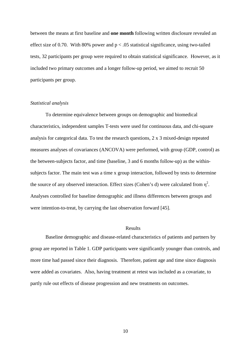between the means at first baseline and **one month** following written disclosure revealed an effect size of 0.70. With 80% power and  $p < .05$  statistical significance, using two-tailed tests, 32 participants per group were required to obtain statistical significance. However, as it included two primary outcomes and a longer follow-up period, we aimed to recruit 50 participants per group.

#### *Statistical analysis*

To determine equivalence between groups on demographic and biomedical characteristics, independent samples T-tests were used for continuous data, and chi-square analysis for categorical data. To test the research questions, 2 x 3 mixed-design repeated measures analyses of covariances (ANCOVA) were performed, with group (GDP, control) as the between-subjects factor, and time (baseline, 3 and 6 months follow-up) as the withinsubjects factor. The main test was a time x group interaction, followed by tests to determine the source of any observed interaction. Effect sizes (Cohen's d) were calculated from  $\eta^2$ . Analyses controlled for baseline demographic and illness differences between groups and were intention-to-treat, by carrying the last observation forward [45].

# Results

Baseline demographic and disease-related characteristics of patients and partners by group are reported in Table 1. GDP participants were significantly younger than controls, and more time had passed since their diagnosis. Therefore, patient age and time since diagnosis were added as covariates. Also, having treatment at retest was included as a covariate, to partly rule out effects of disease progression and new treatments on outcomes.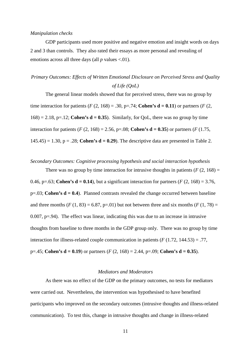## *Manipulation checks*

GDP participants used more positive and negative emotion and insight words on days 2 and 3 than controls. They also rated their essays as more personal and revealing of emotions across all three days (all *p* values <.01).

# *Primary Outcomes: Effects of Written Emotional Disclosure on Perceived Stress and Quality of Life (QoL)*

The general linear models showed that for perceived stress, there was no group by time interaction for patients ( $F(2, 168) = .30$ ,  $p=.74$ ; **Cohen's d** = 0.11) or partners ( $F(2, 168) = .30$ )  $168$ ) = 2.18, p=.12; **Cohen's d = 0.35**). Similarly, for QoL, there was no group by time interaction for patients (*F* (2, 168) = 2.56, p=.08; **Cohen's d = 0.35**) or partners (*F* (1.75,  $145.45$ ) = 1.30, p = .28; **Cohen's d = 0.29**). The descriptive data are presented in Table 2.

*Secondary Outcomes: Cognitive processing hypothesis and social interaction hypothesis*

There was no group by time interaction for intrusive thoughts in patients  $(F (2, 168)) =$ 0.46, p=.63; **Cohen's d = 0.14**), but a significant interaction for partners ( $F(2, 168) = 3.76$ ,  $p=0.03$ ; **Cohen's d = 0.4**). Planned contrasts revealed the change occurred between baseline and three months  $(F (1, 83) = 6.87, p=0.01)$  but not between three and six months  $(F (1, 78)) =$ 0.007, p=.94). The effect was linear, indicating this was due to an increase in intrusive thoughts from baseline to three months in the GDP group only. There was no group by time interaction for illness-related couple communication in patients (*F* (1.72, 144.53) = .77, p=.45; **Cohen's d = 0.19**) or partners (*F* (2, 168) = 2.44, p=.09; **Cohen's d = 0.35**).

## *Mediators and Moderators*

As there was no effect of the GDP on the primary outcomes, no tests for mediators were carried out. Nevertheless, the intervention was hypothesised to have benefited participants who improved on the secondary outcomes (intrusive thoughts and illness-related communication). To test this, change in intrusive thoughts and change in illness-related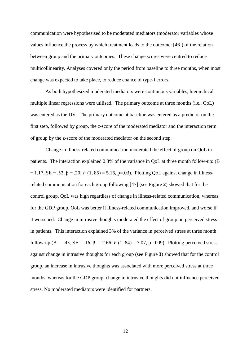communication were hypothesised to be moderated mediators (moderator variables whose values influence the process by which treatment leads to the outcome: [46]) of the relation between group and the primary outcomes. These change scores were centred to reduce multicollinearity. Analyses covered only the period from baseline to three months, when most change was expected to take place, to reduce chance of type-I errors.

As both hypothesized moderated mediators were continuous variables, hierarchical multiple linear regressions were utilised. The primary outcome at three months (i.e., QoL) was entered as the DV. The primary outcome at baseline was entered as a predictor on the first step, followed by group, the z-score of the moderated mediator and the interaction term of group by the z-score of the moderated mediator on the second step.

Change in illness-related communication moderated the effect of group on QoL in patients. The interaction explained 2.3% of the variance in QoL at three month follow-up: (B  $= 1.17$ , SE = .52, β = .20; *F* (1, 85) = 5.16, p=.03). Plotting QoL against change in illnessrelated communication for each group following [47] (see Figure **2**) showed that for the control group, QoL was high regardless of change in illness-related communication, whereas for the GDP group, QoL was better if illness-related communication improved, and worse if it worsened. Change in intrusive thoughts moderated the effect of group on perceived stress in patients. This interaction explained 3% of the variance in perceived stress at three month follow-up (B = -.43, SE = .16,  $\beta$  = -2.66; *F* (1, 84) = 7.07, p=.009). Plotting perceived stress against change in intrusive thoughts for each group (see Figure **3**) showed that for the control group, an increase in intrusive thoughts was associated with more perceived stress at three months, whereas for the GDP group, change in intrusive thoughts did not influence perceived stress. No moderated mediators were identified for partners.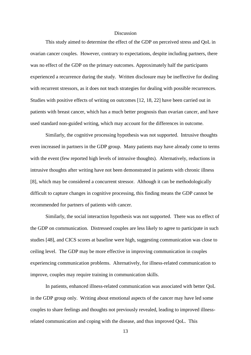#### Discussion

This study aimed to determine the effect of the GDP on perceived stress and QoL in ovarian cancer couples. However, contrary to expectations, despite including partners, there was no effect of the GDP on the primary outcomes. Approximately half the participants experienced a recurrence during the study. Written disclosure may be ineffective for dealing with recurrent stressors, as it does not teach strategies for dealing with possible recurrences. Studies with positive effects of writing on outcomes [12, 18, 22] have been carried out in patients with breast cancer, which has a much better prognosis than ovarian cancer, and have used standard non-guided writing, which may account for the differences in outcome.

Similarly, the cognitive processing hypothesis was not supported. Intrusive thoughts even increased in partners in the GDP group. Many patients may have already come to terms with the event (few reported high levels of intrusive thoughts). Alternatively, reductions in intrusive thoughts after writing have not been demonstrated in patients with chronic illness [8], which may be considered a concurrent stressor. Although it can be methodologically difficult to capture changes in cognitive processing, this finding means the GDP cannot be recommended for partners of patients with cancer.

Similarly, the social interaction hypothesis was not supported. There was no effect of the GDP on communication. Distressed couples are less likely to agree to participate in such studies [48], and CICS scores at baseline were high, suggesting communication was close to ceiling level. The GDP may be more effective in improving communication in couples experiencing communication problems. Alternatively, for illness-related communication to improve, couples may require training in communication skills.

In patients, enhanced illness-related communication was associated with better QoL in the GDP group only. Writing about emotional aspects of the cancer may have led some couples to share feelings and thoughts not previously revealed, leading to improved illnessrelated communication and coping with the disease, and thus improved QoL. This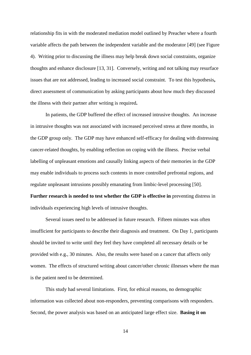relationship fits in with the moderated mediation model outlined by Preacher where a fourth variable affects the path between the independent variable and the moderator [49] (see Figure 4). Writing prior to discussing the illness may help break down social constraints, organize thoughts and enhance disclosure [13, 31]. Conversely, writing and not talking may resurface issues that are not addressed, leading to increased social constraint. To test this hypothesis**,**  direct assessment of communication by asking participants about how much they discussed the illness with their partner after writing is required**.**

In patients, the GDP buffered the effect of increased intrusive thoughts. An increase in intrusive thoughts was not associated with increased perceived stress at three months, in the GDP group only. The GDP may have enhanced self-efficacy for dealing with distressing cancer-related thoughts, by enabling reflection on coping with the illness. Precise verbal labelling of unpleasant emotions and causally linking aspects of their memories in the GDP may enable individuals to process such contents in more controlled prefrontal regions, and regulate unpleasant intrusions possibly emanating from limbic-level processing [50]. **Further research is needed to test whether the GDP is effective in** preventing distress in individuals experiencing high levels of intrusive thoughts.

Several issues need to be addressed in future research. Fifteen minutes was often insufficient for participants to describe their diagnosis and treatment. On Day 1, participants should be invited to write until they feel they have completed all necessary details or be provided with e.g., 30 minutes. Also, the results were based on a cancer that affects only women. The effects of structured writing about cancer/other chronic illnesses where the man is the patient need to be determined.

This study had several limitations. First, for ethical reasons, no demographic information was collected about non-responders, preventing comparisons with responders. Second, the power analysis was based on an anticipated large effect size. **Basing it on**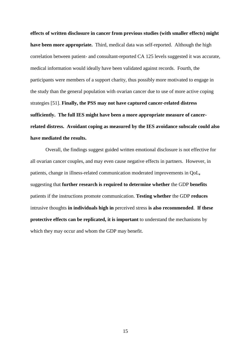**effects of written disclosure in cancer from previous studies (with smaller effects) might have been more appropriate.** Third, medical data was self-reported. Although the high correlation between patient- and consultant-reported CA 125 levels suggested it was accurate, medical information would ideally have been validated against records. Fourth, the participants were members of a support charity, thus possibly more motivated to engage in the study than the general population with ovarian cancer due to use of more active coping strategies [51]. **Finally, the PSS may not have captured cancer-related distress sufficiently. The full IES might have been a more appropriate measure of cancerrelated distress. Avoidant coping as measured by the IES avoidance subscale could also have mediated the results.**

Overall, the findings suggest guided written emotional disclosure is not effective for all ovarian cancer couples, and may even cause negative effects in partners. However, in patients, change in illness-related communication moderated improvements in QoL**,**  suggesting that **further research is required to determine whether** the GDP **benefits** patients if the instructions promote communication. **Testing whether** the GDP **reduces** intrusive thoughts **in individuals high in** perceived stress **is also recommended**. **If these protective effects can be replicated, it is important** to understand the mechanisms by which they may occur and whom the GDP may benefit.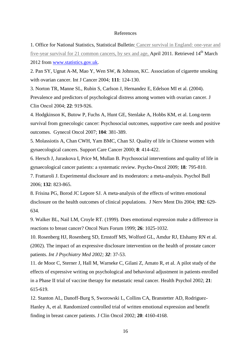#### References

1. Office for National Statistics, Statistical Bulletin: Cancer survival in [England:](http://www.statistics.gov.uk/pdfdir/can0410.pdf) one-year and [five-year](http://www.statistics.gov.uk/pdfdir/can0410.pdf) survival for 21 common cancers, by sex and age, April 2011. Retrieved 14<sup>th</sup> March 2012 from [www.statistics.gov.uk.](http://www.statistics.gov.uk/)

2. Pan SY, Ugnat A-M, Mao Y, Wen SW, & Johnson, KC. Association of cigarette smoking with ovarian cancer. Int J Cancer 2004*;* **111**: 124-130.

3. Norton TR, Manne SL, Rubin S, Carlson J, Hernandez E, Edelson MI et al. (2004).

Prevalence and predictors of psychological distress among women with ovarian cancer. J Clin Oncol 2004; **22**: 919-926.

4. Hodgkinson K, Butow P, Fuchs A, Hunt GE, Stenlake A, Hobbs KM, et al. Long-term survival from gynecologic cancer: Psychosocial outcomes, supportive care needs and positive outcomes. Gynecol Oncol 2007; **104**: 381-389.

5. Molassiotis A, Chan CWH, Yam BMC, Chan SJ. Quality of life in Chinese women with gynaecological cancers. Support Care Cancer 2000; **8**: 414-422.

6. Hersch J, Juraskova I, Price M, Mullan B. Psychosocial interventions and quality of life in gynaecological cancer patients: a systematic review. Psycho-Oncol 2009*;* **18***:* 795-810.

7. Frattaroli J. Experimental disclosure and its moderators: a meta-analysis. Psychol Bull 2006; **132**: 823-865.

8. Frisina PG, Borod JC Lepore SJ. A meta-analysis of the effects of written emotional disclosure on the health outcomes of clinical populations. J Nerv Ment Dis 2004; **192**: 629- 634.

9. Walker BL, Nail LM, Croyle RT. (1999). Does emotional expression make a difference in reactions to breast cancer? Oncol Nurs Forum 1999; **26**: 1025-1032.

10. Rosenberg HJ, Rosenberg SD, Ernstoff MS, Wolford GL, Amdur RJ, Elshamy RN et al. (2002). The impact of an expressive disclosure intervention on the health of prostate cancer patients. *Int J Psychiatry Med 2002; 32*: 37-53.

11. de Moor C, Sterner J, Hall M, Warneke C, Gilani Z, Amato R, et al. A pilot study of the effects of expressive writing on psychological and behavioral adjustment in patients enrolled in a Phase II trial of vaccine therapy for metastatic renal cancer. Health Psychol 2002; **21**: 615-619.

12. Stanton AL, Danoff-Burg S, Sworowski L, Collins CA, Branstetter AD, Rodriguez-Hanley A, et al. Randomized controlled trial of written emotional expression and benefit finding in breast cancer patients. J Clin Oncol 2002; **20**: 4160-4168.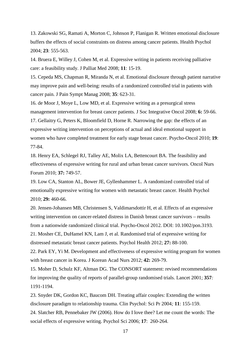13. Zakowski SG, Ramati A, Morton C, Johnson P, Flanigan R. Written emotional disclosure buffers the effects of social constraints on distress among cancer patients. Health Psychol 2004; **23**: 555-563.

14. Bruera E, Willey J, Cohen M, et al. Expressive writing in patients receiving palliative care: a feasibility study. J Palliat Med 2008; **11**: 15-19.

15. Cepeda MS, Chapman R, Miranda N, et al. Emotional disclosure through patient narrative may improve pain and well-being: results of a randomized controlled trial in patients with cancer pain. J Pain Sympt Manag 2008; **35**: 623-31.

16. de Moor J, Moye L, Low MD, et al. Expressive writing as a presurgical stress management intervention for breast cancer patients. J Soc Integrative Oncol 2008; **6:** 59-66. 17. Gellaitry G, Peters K, Bloomfield D, Horne R. Narrowing the gap: the effects of an expressive writing intervention on perceptions of actual and ideal emotional support in women who have completed treatment for early stage breast cancer. Psycho-Oncol 2010; **19**: 77-84.

18. Henry EA, Schlegel RJ, Talley AE, Molix LA, Bettencourt BA. The feasibility and effectiveness of expressive writing for rural and urban breast cancer survivors. Oncol Nurs Forum 2010; **37:** 749-57.

19. Low CA, Stanton AL, Bower JE, Gyllenhammer L. A randomized controlled trial of emotionally expressive writing for women with metastatic breast cancer. Health Psychol 2010; **29:** 460-66.

20. Jensen-Johansen MB, Christensen S, Valdimarsdottir H, et al. Effects of an expressive writing intervention on cancer-related distress in Danish breast cancer survivors – results from a nationwide randomized clinical trial. Psycho-Oncol 2012. DOI: 10.1002/pon.3193.

21. Mosher CE, DuHamel KN, Lam J, et al. Randomised trial of expressive writing for distressed metastatic breast cancer patients. Psychol Health 2012; **27:** 88-100.

22. Park EY, Yi M. Development and effectiveness of expressive writing program for women with breast cancer in Korea. J Korean Acad Nurs 2012; **42:** 269-79.

15. Moher D, Schulz KF, Altman DG. The CONSORT statement: revised recommendations for improving the quality of reports of parallel-group randomised trials. Lancet 2001; **357***:* 1191-1194.

23. Snyder DK, Gordon KC, Baucom DH. Treating affair couples: Extending the written disclosure paradigm to relationship trauma. Clin Psychol: Sci Pr 2004*;* **11**: 155-159. 24. Slatcher RB, Pennebaker JW (2006). How do I love thee? Let me count the words: The social effects of expressive writing. Psychol Sci 2006; **17**: 260-264.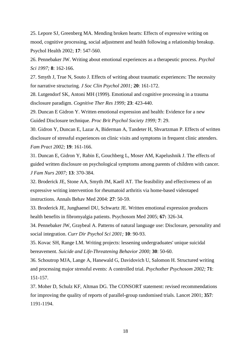25. Lepore SJ, Greenberg MA. Mending broken hearts: Effects of expressive writing on mood, cognitive processing, social adjustment and health following a relationship breakup. Psychol Health 2002; **17**: 547-560.

26. Pennebaker JW. Writing about emotional experiences as a therapeutic process. *Psychol Sci 1997;* **8**: 162-166.

27. Smyth J, True N, Souto J. Effects of writing about traumatic experiences: The necessity for narrative structuring. *J Soc Clin Psychol 2001;* **20**: 161-172.

28. Lutgendorf SK, Antoni MH (1999). Emotional and cognitive processing in a trauma disclosure paradigm. *Cognitive Ther Res 1999;* **23**: 423-440.

29. Duncan E Gidron Y. Written emotional expression and health: Evidence for a new Guided Disclosure technique. *Proc Brit Psychol Society 1999;* **7**: 29.

30. Gidron Y, Duncan E, Lazar A, Biderman A, Tandeter H, Shvartzman P. Effects of written disclosure of stressful experiences on clinic visits and symptoms in frequent clinic attenders. *Fam Pract 2002;* **19**: 161-166.

31. Duncan E, Gidron Y, Rabin E, Gouchberg L, Moser AM, Kapelushnik J. The effects of guided written disclosure on psychological symptoms among parents of children with cancer. *J Fam Nurs 2007;* **13**: 370-384.

32. Broderick JE, Stone AA, Smyth JM, Kaell AT. The feasibility and effectiveness of an expressive writing intervention for rheumatoid arthritis via home-based videotaped instructions. Annals Behav Med 2004: **27**: 50-59.

33. Broderick JE, Junghaenel DU, Schwartz JE. Written emotional expression produces health benefits in fibromyalgia patients. Psychosom Med 2005; **67:** 326-34.

34. Pennebaker JW, Graybeal A. Patterns of natural language use: Disclosure, personality and social integration. *Curr Dir Psychol Sci 2001;* **10**: 90-93.

35. Kovac SH, Range LM. Writing projects: lessening undergraduates' unique suicidal bereavement. *Suicide and Life-Threatening Behavior 2000;* **30**: 50-60.

36. Schoutrop MJA, Lange A, Hanewald G, Davidovich U, Salomon H. Structured writing and processing major stressful events: A controlled trial. *Psychother Psychosom 2002;* **71**: 151-157.

37. Moher D, Schulz KF, Altman DG. The CONSORT statement: revised recommendations for improving the quality of reports of parallel-group randomised trials. Lancet 2001; **357***:* 1191-1194.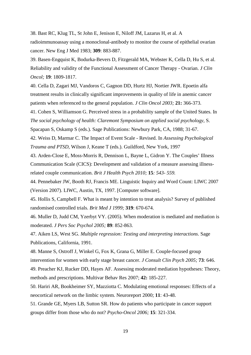38. Bast RC, Klug TL, St John E, Jenison E, Niloff JM, Lazarus H, et al. A radioimmunoassay using a monoclonal-antibody to monitor the course of epithelial ovarian cancer. New Eng J Med 1983; **309**: 883-887.

39. Basen-Engquist K, Bodurka-Bevers D, Fitzgerald MA, Webster K, Cella D, Hu S, et al. Reliability and validity of the Functional Assessment of Cancer Therapy - Ovarian. *J Clin Oncol;* **19**: 1809-1817.

40. Cella D, Zagari MJ, Vandoros C, Gagnon DD, Hurtz HJ, Nortier JWR. Epoetin alfa treatment results in clinically significant improvements in quality of life in anemic cancer patients when referenced to the general population. *J Clin Oncol 2003;* **21:** 366-373.

41. Cohen S, Williamson G. Perceived stress in a probability sample of the United States. In *The social psychology of health: Claremont Symposium on applied social psychology,* S. Spacapan S, Oskamp S (eds.). Sage Publications: Newbury Park, CA, 1988; 31-67.

42. Weiss D, Marmar C. The Impact of Event Scale - Revised. In *Assessing Psychological Trauma and PTSD*, Wilson J, Keane T (eds.). Guildford, New York, 1997

43. Arden-Close E, Moss-Morris R, Dennison L, Bayne L, Gidron Y. The Couples' Illness Communication Scale (CICS): Development and validation of a measure assessing illnessrelated couple communication. *Brit J Health Psych 2010;* **15***: 543- 559.*

44. Pennebaker JW, Booth RJ, Francis ME. Linguistic Inquiry and Word Count: LIWC 2007 (Version 2007). LIWC, Austin, TX, 1997. [Computer software].

45. Hollis S, Campbell F. What is meant by intention to treat analysis? Survey of published randomised controlled trials. *Brit Med J 1999;* **319**: 670-674.

46. Muller D, Judd CM, Yzerbyt VY. (2005). When moderation is mediated and mediation is moderated. *J Pers Soc Psychol 2005;* **89**: 852-863.

47. Aiken LS, West SG. *Multiple regression: Testing and interpreting interactions*. Sage Publications, California, 1991.

48. Manne S, Ostroff J, Winkel G, Fox K, Grana G, Miller E. Couple-focused group intervention for women with early stage breast cancer. *J Consult Clin Psych 2005;* **73**: 646.

49. Preacher KJ, Rucker DD, Hayes AF. Assessing moderated mediation hypotheses: Theory, methods and prescriptions. Multivar Behav Res 2007; **42:** 185-227.

50. Hariri AR, Bookheimer SY, Mazziotta C. Modulating emotional responses: Effects of a neocortical network on the limbic system. Neuroreport 2000; **11**: 43-48.

51. Grande GE, Myers LB, Sutton SR. How do patients who participate in cancer support groups differ from those who do not? *Psycho-Oncol 2006;* **15**: 321-334.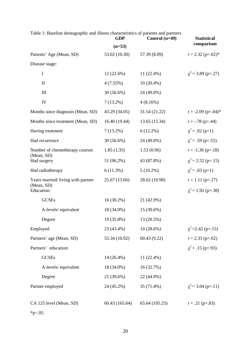| Table 1: Baseline demographic and illness characteristics of patients and partners |  |
|------------------------------------------------------------------------------------|--|
|------------------------------------------------------------------------------------|--|

|                                   | Control $(n=49)$<br><b>GDP</b> |                | <b>Statistical</b>      |  |
|-----------------------------------|--------------------------------|----------------|-------------------------|--|
|                                   | $(n=53)$                       |                | comparison              |  |
| Patients' Age (Mean, SD)          | 53.02 (10.30)                  | 57.39 (8.09)   | $t = 2.32$ (p=.02)*     |  |
| Disease stage:                    |                                |                |                         |  |
| $\bf{I}$                          | $12(22.6\%)$                   | $11(22.4\%)$   | $\chi^2$ = 3.89 (p=.27) |  |
| $\mathbf{I}$                      | $4(7.55\%)$                    | $10(20.4\%)$   |                         |  |
| $\mathop{\rm III}$                | 30 (56.6%)                     | 24 (49.0%)     |                         |  |
| IV                                | $7(13.2\%)$                    | 4(8.16%)       |                         |  |
| Months since diagnosis (Mean, SD) | 43.29 (34.05)                  | 31.54(21.22)   | $t = -2.09$ (p=.04)*    |  |
| Months since treatment (Mean, SD) | 16.40(19.44)                   | 13.65 (15.34)  | $t = -.78$ (p=.44)      |  |
| Having treatment                  | $7(13.2\%)$                    | $6(12.2\%)$    | $\chi^2$ = .02 (p=1)    |  |
| Had recurrence                    | $30(56.6\%)$                   | 24 (49.0%)     | $\chi^2$ = .59 (p=.55)  |  |
| Number of chemotherapy courses    | 1.85(1.35)                     | 1.53(0.96)     | $t = -1.36$ (p=.18)     |  |
| (Mean, SD)<br>Had surgery         | 51 (96.2%)                     | 43 (87.8%)     | $\chi^2$ = 2.52 (p=.15) |  |
| Had radiotherapy                  | 6(11.3%)                       | $5(10.2\%)$    | $\chi^2$ = .03 (p=1)    |  |
| Years married/living with partner | 25.67(13.66)                   | 28.62 (10.98)  | $t = 1.11$ (p=.27)      |  |
| (Mean, SD)<br>Education:          |                                |                | $\chi^2$ = 1.92 (p=.38) |  |
| <b>GCSEs</b>                      | $16(30.2\%)$                   | 21 (42.9%)     |                         |  |
| A-levels/equivalent               | 18 (34.0%)                     | 15 (30.6%)     |                         |  |
| Degree                            | 19 (35.8%)                     | 13 (26.5%)     |                         |  |
| Employed                          | 23 (43.4%)                     | 14 (28.6%)     | $\chi^2$ = 2.42 (p=.15) |  |
| Partners' age (Mean, SD)          | 55.34 (10.92)                  | 60.43(9.22)    | $t = 2.33$ (p=.02)      |  |
| Partners' education:              |                                |                | $\chi^2$ = .15 (p=.93)  |  |
| <b>GCSEs</b>                      | 14 (26.4%)                     | 11 (22.4%)     |                         |  |
| A-levels/equivalent               | 18 (34.0%)                     | 16 (32.7%)     |                         |  |
| Degree                            | 21 (39.6%)                     | 22 (44.9%)     |                         |  |
| Partner employed                  | 24 (45.2%)                     | 35 (71.4%)     | $\chi^2$ = 3.04 (p=.11) |  |
| CA 125 level (Mean, SD)           | 60.43 (165.64)                 | 65.64 (105.25) | $t = .21$ (p=.83)       |  |

 $*_{p<.05}$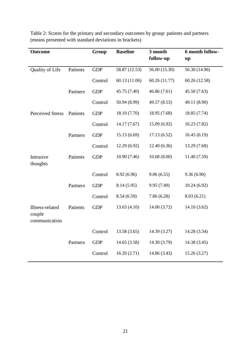| <b>Outcome</b>                             |          | Group      | <b>Baseline</b> | 3 month       | 6 month follow- |
|--------------------------------------------|----------|------------|-----------------|---------------|-----------------|
|                                            |          |            |                 | follow-up     | up              |
| Quality of Life                            | Patients | <b>GDP</b> | 58.87 (12.53)   | 56.00(15.30)  | 56.30 (14.96)   |
|                                            |          | Control    | 60.13 (11.06)   | 60.26 (11.77) | 60.26 (12.58)   |
|                                            | Partners | <b>GDP</b> | 45.75 (7.40)    | 46.86 (7.61)  | 45.50 (7.63)    |
|                                            |          | Control    | 50.94 (8.99)    | 49.57 (8.53)  | 49.11 (8.90)    |
| <b>Perceived Stress</b>                    | Patients | <b>GDP</b> | 18.10 (7.70)    | 18.95 (7.68)  | 18.85 (7.74)    |
|                                            |          | Control    | 14.17 (7.67)    | 15.09 (6.92)  | 16.23(7.82)     |
|                                            | Partners | <b>GDP</b> | 15.13 (6.69)    | 17.13(6.52)   | 16.45(6.19)     |
|                                            |          | Control    | 12.29 (6.92)    | 12.40(6.36)   | 13.29 (7.68)    |
| Intrusive<br>thoughts                      | Patients | <b>GDP</b> | 10.90 (7.46)    | 10.68(8.00)   | 11.40 (7.59)    |
|                                            |          | Control    | 8.92 (6.96)     | 9.06(6.55)    | 9.36(6.90)      |
|                                            | Partners | <b>GDP</b> | 8.14(5.95)      | 9.95 (7.49)   | 10.24(6.92)     |
|                                            |          | Control    | 8.54(6.59)      | 7.86(6.28)    | 8.03(6.21)      |
| Illness-related<br>couple<br>communication | Patients | <b>GDP</b> | 13.63(4.10)     | 14.00(3.72)   | 14.10(3.62)     |
|                                            |          | Control    | 13.58(3.65)     | 14.39 (3.27)  | 14.28 (3.34)    |
|                                            | Partners | <b>GDP</b> | 14.65(3.58)     | 14.30 (3.79)  | 14.38 (3.45)    |
|                                            |          | Control    | 16.20(2.71)     | 14.86 (3.43)  | 15.26(3.27)     |

Table 2: Scores for the primary and secondary outcomes by group: patients and partners (means presented with standard deviations in brackets)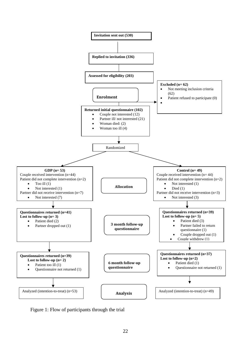

Figure 1: Flow of participants through the trial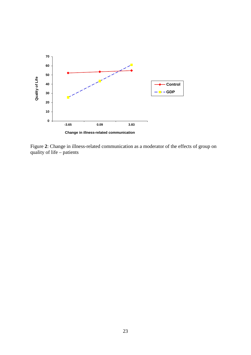

Figure **2**: Change in illness-related communication as a moderator of the effects of group on quality of life – patients